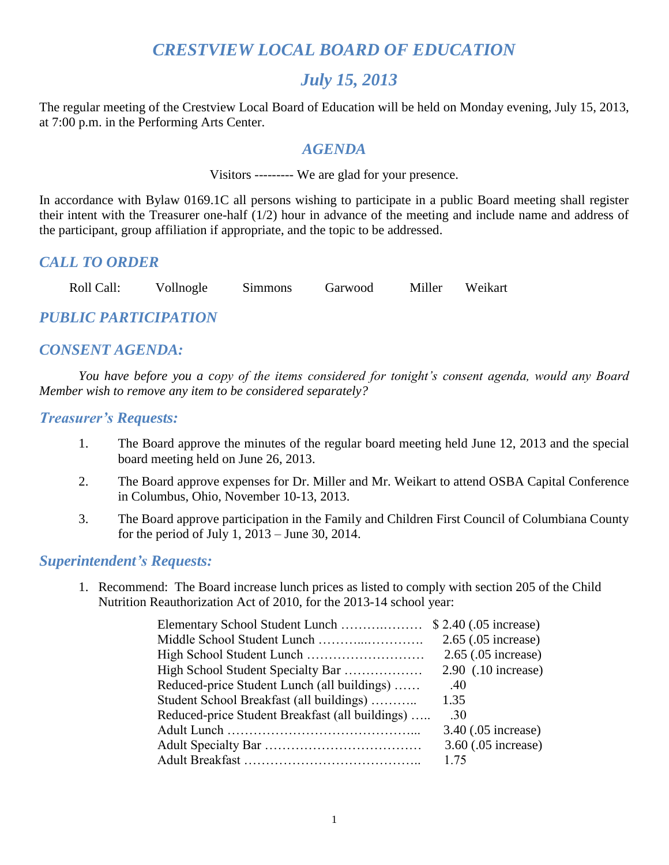# *CRESTVIEW LOCAL BOARD OF EDUCATION*

## *July 15, 2013*

The regular meeting of the Crestview Local Board of Education will be held on Monday evening, July 15, 2013, at 7:00 p.m. in the Performing Arts Center.

#### *AGENDA*

Visitors --------- We are glad for your presence.

In accordance with Bylaw 0169.1C all persons wishing to participate in a public Board meeting shall register their intent with the Treasurer one-half (1/2) hour in advance of the meeting and include name and address of the participant, group affiliation if appropriate, and the topic to be addressed.

#### *CALL TO ORDER*

Roll Call: Vollnogle Simmons Garwood Miller Weikart

## *PUBLIC PARTICIPATION*

### *CONSENT AGENDA:*

*You have before you a copy of the items considered for tonight's consent agenda, would any Board Member wish to remove any item to be considered separately?*

#### *Treasurer's Requests:*

- 1. The Board approve the minutes of the regular board meeting held June 12, 2013 and the special board meeting held on June 26, 2013.
- 2. The Board approve expenses for Dr. Miller and Mr. Weikart to attend OSBA Capital Conference in Columbus, Ohio, November 10-13, 2013.
- 3. The Board approve participation in the Family and Children First Council of Columbiana County for the period of July 1, 2013 – June 30, 2014.

#### *Superintendent's Requests:*

1. Recommend: The Board increase lunch prices as listed to comply with section 205 of the Child Nutrition Reauthorization Act of 2010, for the 2013-14 school year:

|                                                 | $2.65$ (.05 increase) |
|-------------------------------------------------|-----------------------|
|                                                 | 2.65 (.05 increase)   |
| High School Student Specialty Bar               | $2.90$ (.10 increase) |
| Reduced-price Student Lunch (all buildings)     | .40                   |
| Student School Breakfast (all buildings)        | 1.35                  |
| Reduced-price Student Breakfast (all buildings) | .30                   |
|                                                 | 3.40 (.05 increase)   |
|                                                 | 3.60 (.05 increase)   |
|                                                 | 1 75                  |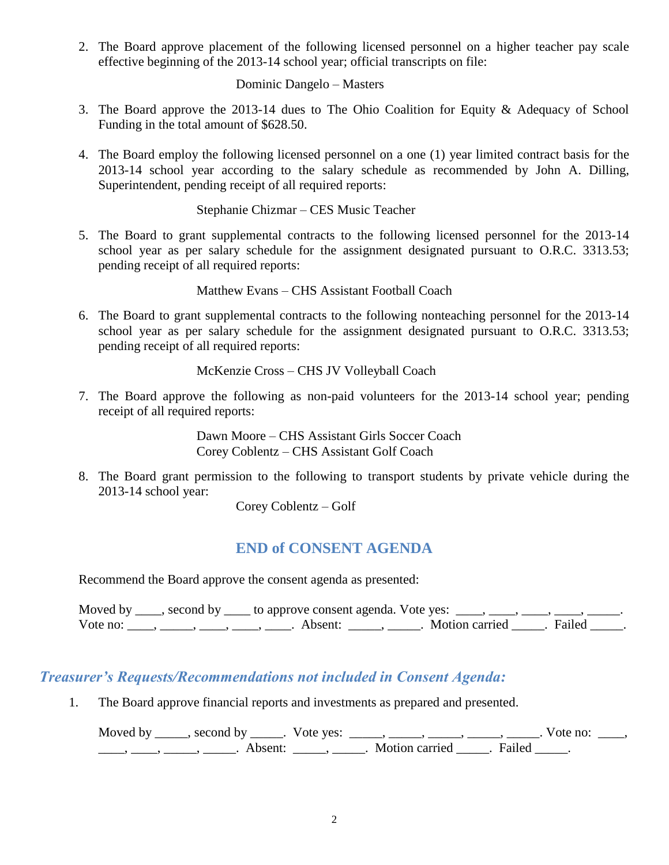2. The Board approve placement of the following licensed personnel on a higher teacher pay scale effective beginning of the 2013-14 school year; official transcripts on file:

Dominic Dangelo – Masters

- 3. The Board approve the 2013-14 dues to The Ohio Coalition for Equity & Adequacy of School Funding in the total amount of \$628.50.
- 4. The Board employ the following licensed personnel on a one (1) year limited contract basis for the 2013-14 school year according to the salary schedule as recommended by John A. Dilling, Superintendent, pending receipt of all required reports:

Stephanie Chizmar – CES Music Teacher

5. The Board to grant supplemental contracts to the following licensed personnel for the 2013-14 school year as per salary schedule for the assignment designated pursuant to O.R.C. 3313.53; pending receipt of all required reports:

Matthew Evans – CHS Assistant Football Coach

6. The Board to grant supplemental contracts to the following nonteaching personnel for the 2013-14 school year as per salary schedule for the assignment designated pursuant to O.R.C. 3313.53; pending receipt of all required reports:

McKenzie Cross – CHS JV Volleyball Coach

7. The Board approve the following as non-paid volunteers for the 2013-14 school year; pending receipt of all required reports:

> Dawn Moore – CHS Assistant Girls Soccer Coach Corey Coblentz – CHS Assistant Golf Coach

8. The Board grant permission to the following to transport students by private vehicle during the 2013-14 school year:

Corey Coblentz – Golf

## **END of CONSENT AGENDA**

Recommend the Board approve the consent agenda as presented:

|          | Moved by ____, second by ____ to approve consent agenda. Vote yes: $\_\_\_\_\_\_\_\_\_\_\_\_\_\_\_$                                                                                                                                                                                                                             |                           |  |
|----------|---------------------------------------------------------------------------------------------------------------------------------------------------------------------------------------------------------------------------------------------------------------------------------------------------------------------------------|---------------------------|--|
| Vote no: | $\frac{1}{1}$ , $\frac{1}{1}$ , $\frac{1}{1}$ , $\frac{1}{1}$ , $\frac{1}{1}$ , $\frac{1}{1}$ , $\frac{1}{1}$ , $\frac{1}{1}$ , $\frac{1}{1}$ , $\frac{1}{1}$ , $\frac{1}{1}$ , $\frac{1}{1}$ , $\frac{1}{1}$ , $\frac{1}{1}$ , $\frac{1}{1}$ , $\frac{1}{1}$ , $\frac{1}{1}$ , $\frac{1}{1}$ , $\frac{1}{1}$ , $\frac{1}{1}$ , | . Motion carried . Failed |  |

### *Treasurer's Requests/Recommendations not included in Consent Agenda:*

1. The Board approve financial reports and investments as prepared and presented.

Moved by \_\_\_\_\_, second by \_\_\_\_\_. Vote yes:  $\_\_\_\_\_\_\_\_\_\_\_\_\_\_\_\_\_\_\_\_$  \_\_\_\_, \_\_\_\_\_, \_\_\_\_\_. Vote no:  $\_\_\_\_\_\$ \_\_\_\_\_, \_\_\_\_\_, \_\_\_\_\_\_\_. Absent: \_\_\_\_\_\_, \_\_\_\_\_\_. Motion carried \_\_\_\_\_\_. Failed \_\_\_\_\_.